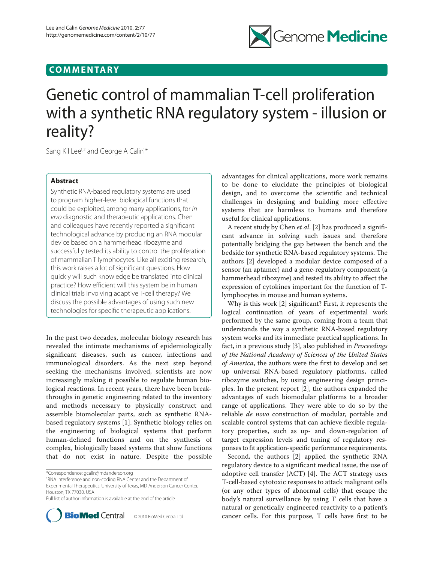## **COMMENTARY**



# Genetic control of mammalian T-cell proliferation with a synthetic RNA regulatory system - illusion or reality?

Sang Kil Lee<sup>1,2</sup> and George A Calin<sup>1\*</sup>

### **Abstract**

Synthetic RNA-based regulatory systems are used to program higher-level biological functions that could be exploited, among many applications, for *in vivo* diagnostic and therapeutic applications. Chen and colleagues have recently reported a significant technological advance by producing an RNA modular device based on a hammerhead ribozyme and successfully tested its ability to control the proliferation of mammalian T lymphocytes. Like all exciting research, this work raises a lot of significant questions. How quickly will such knowledge be translated into clinical practice? How efficient will this system be in human clinical trials involving adaptive T-cell therapy? We discuss the possible advantages of using such new technologies for specific therapeutic applications.

In the past two decades, molecular biology research has revealed the intimate mechanisms of epidemiologically significant diseases, such as cancer, infections and immunological disorders. As the next step beyond seeking the mechanisms involved, scientists are now increasingly making it possible to regulate human biological reactions. In recent years, there have been breakthroughs in genetic engineering related to the inventory and methods necessary to physically construct and assemble biomolecular parts, such as synthetic RNAbased regulatory systems [1]. Synthetic biology relies on the engineering of biological systems that perform human-defined functions and on the synthesis of complex, biologically based systems that show functions that do not exist in nature. Despite the possible

1 RNA interference and non-coding RNA Center and the Department of Experimental Therapeutics, University of Texas, MD Anderson Cancer Center, Houston, TX 77030, USA

Full list of author information is available at the end of the article



advantages for clinical applications, more work remains to be done to elucidate the principles of biological design, and to overcome the scientific and technical challenges in designing and building more effective systems that are harmless to humans and therefore useful for clinical applications.

A recent study by Chen *et al*. [2] has produced a significant advance in solving such issues and therefore potentially bridging the gap between the bench and the bedside for synthetic RNA-based regulatory systems. The authors [2] developed a modular device composed of a sensor (an aptamer) and a gene-regulatory component (a hammerhead ribozyme) and tested its ability to affect the expression of cytokines important for the function of Tlymphocytes in mouse and human systems.

Why is this work [2] significant? First, it represents the logical continuation of years of experimental work performed by the same group, coming from a team that understands the way a synthetic RNA-based regulatory system works and its immediate practical applications. In fact, in a previous study [3], also published in *Proceedings of the National Academy of Sciences of the United States of America*, the authors were the first to develop and set up universal RNA-based regulatory platforms, called ribozyme switches, by using engineering design principles. In the present report [2], the authors expanded the advantages of such biomodular platforms to a broader range of applications. They were able to do so by the reliable *de novo* construction of modular, portable and scalable control systems that can achieve flexible regulatory properties, such as up- and down-regulation of target expression levels and tuning of regulatory responses to fit application-specific performance requirements.

Second, the authors [2] applied the synthetic RNA regulatory device to a significant medical issue, the use of adoptive cell transfer (ACT)  $[4]$ . The ACT strategy uses T-cell-based cytotoxic responses to attack malignant cells (or any other types of abnormal cells) that escape the body's natural surveillance by using T cells that have a natural or genetically engineered reactivity to a patient's cancer cells. For this purpose, T cells have first to be

<sup>\*</sup>Correspondence: gcalin@mdanderson.org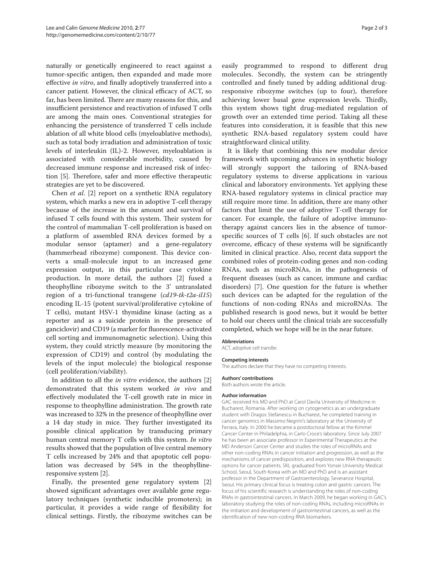naturally or genetically engineered to react against a tumor-specific antigen, then expanded and made more effective *in vitro*, and finally adoptively transferred into a cancer patient*.* However, the clinical efficacy of ACT, so far, has been limited. There are many reasons for this, and insufficient persistence and reactivation of infused T cells are among the main ones. Conventional strategies for enhancing the persistence of transferred T cells include ablation of all white blood cells (myeloablative methods), such as total body irradiation and administration of toxic levels of interleukin (IL)-2. However, myeloablation is associated with considerable morbidity, caused by decreased immune response and increased risk of infection [5]. Therefore, safer and more effective therapeutic strategies are yet to be discovered.

Chen *et al*. [2] report on a synthetic RNA regulatory system, which marks a new era in adoptive T-cell therapy because of the increase in the amount and survival of infused T cells found with this system. Their system for the control of mammalian T-cell proliferation is based on a platform of assembled RNA devices formed by a modular sensor (aptamer) and a gene-regulatory (hammerhead ribozyme) component. This device converts a small-molecule input to an increased gene expression output, in this particular case cytokine production. In more detail, the authors [2] fused a theophylline ribozyme switch to the 3' untranslated region of a tri-functional transgene (*cd19-tk-t2a-il15*) encoding IL-15 (potent survival/proliferative cytokine of T cells), mutant HSV-1 thymidine kinase (acting as a reporter and as a suicide protein in the presence of ganciclovir) and CD19 (a marker for fluorescence-activated cell sorting and immunomagnetic selection). Using this system, they could strictly measure (by monitoring the expression of CD19) and control (by modulating the levels of the input molecule) the biological response (cell proliferation/viability).

In addition to all the *in vitro* evidence, the authors [2] demonstrated that this system worked *in vivo* and effectively modulated the T-cell growth rate in mice in response to theophylline administration. The growth rate was increased to 32% in the presence of theophylline over a 14 day study in mice. They further investigated its possible clinical application by transducing primary human central memory T cells with this system. *In vitro* results showed that the population of live central memory T cells increased by 24% and that apoptotic cell population was decreased by 54% in the theophyllineresponsive system [2].

Finally, the presented gene regulatory system [2] showed significant advantages over available gene regulatory techniques (synthetic inducible promoters); in particular, it provides a wide range of flexibility for clinical settings. Firstly, the ribozyme switches can be easily programmed to respond to different drug molecules. Secondly, the system can be stringently controlled and finely tuned by adding additional drugresponsive ribozyme switches (up to four), therefore achieving lower basal gene expression levels. Thirdly, this system shows tight drug-mediated regulation of growth over an extended time period. Taking all these features into consideration, it is feasible that this new synthetic RNA-based regulatory system could have straightforward clinical utility.

It is likely that combining this new modular device framework with upcoming advances in synthetic biology will strongly support the tailoring of RNA-based regulatory systems to diverse applications in various clinical and laboratory environments. Yet applying these RNA-based regulatory systems in clinical practice may still require more time. In addition, there are many other factors that limit the use of adoptive T-cell therapy for cancer. For example, the failure of adoptive immunotherapy against cancers lies in the absence of tumorspecific sources of T cells [6]. If such obstacles are not overcome, efficacy of these systems will be significantly limited in clinical practice. Also, recent data support the combined roles of protein-coding genes and non-coding RNAs, such as microRNAs, in the pathogenesis of frequent diseases (such as cancer, immune and cardiac disorders) [7]. One question for the future is whether such devices can be adapted for the regulation of the functions of non-coding RNAs and microRNAs. The published research is good news, but it would be better to hold our cheers until the clinical trials are successfully completed, which we hope will be in the near future.

#### **Abbreviations**

ACT, adoptive cell transfer.

#### **Competing interests**

The authors declare that they have no competing interests.

#### **Authors' contributions**

Both authors wrote the article.

#### **Author information**

GAC received his MD and PhD at Carol Davila University of Medicine in Bucharest, Romania. After working on cytogenetics as an undergraduate student with Dragos Stefanescu in Bucharest, he completed training in cancer genomics in Massimo Negrini's laboratory at the University of Ferrara, Italy. In 2000 he became a postdoctoral fellow at the Kimmel Cancer Center in Philadelphia, in Carlo Croce's laboratory. Since July 2007 he has been an associate professor in Experimental Therapeutics at the MD Anderson Cancer Center and studies the roles of microRNAs and other non-coding RNAs in cancer initiation and progression, as well as the mechanisms of cancer predisposition, and explores new RNA therapeutic options for cancer patients. SKL graduated from Yonsei University Medical School, Seoul, South Korea with an MD and PhD and is an assistant professor in the Department of Gastroenterology, Severance Hospital, Seoul. His primary clinical focus is treating colon and gastric cancers. The focus of his scientific research is understanding the roles of non-coding RNAs in gastrointestinal cancers. In March 2009, he began working in GAC's laboratory studying the roles of non-coding RNAs, including microRNAs in the initiation and development of gastrointestinal cancers, as well as the identification of new non-coding RNA biomarkers.